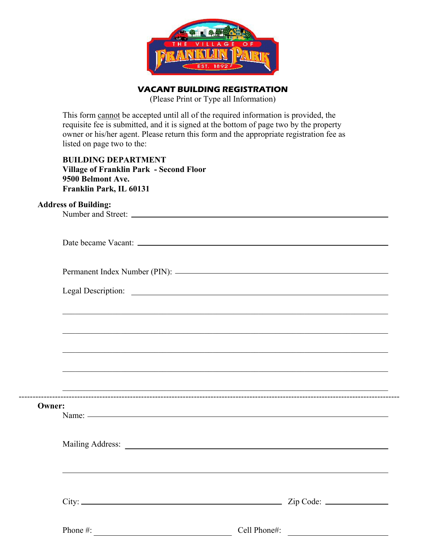

**VACANT BUILDING REGISTRATION** 

(Please Print or Type all Information)

This form cannot be accepted until all of the required information is provided, the requisite fee is submitted, and it is signed at the bottom of page two by the property owner or his/her agent. Please return this form and the appropriate registration fee as listed on page two to the:

## **BUILDING DEPARTMENT Village of Franklin Park - Second Floor 9500 Belmont Ave. Franklin Park, IL 60131**

## **Address of Building:**

|               | <u> 1999 - Johann John Harry Harry Harry Harry Harry Harry Harry Harry Harry Harry Harry Harry Harry Harry Harry</u> |
|---------------|----------------------------------------------------------------------------------------------------------------------|
|               |                                                                                                                      |
|               |                                                                                                                      |
|               | ,我们也不能在这里的时候,我们也不能在这里的时候,我们也不能会在这里的时候,我们也不能会在这里的时候,我们也不能会在这里的时候,我们也不能会在这里的时候,我们也                                     |
| <b>Owner:</b> |                                                                                                                      |
|               |                                                                                                                      |
|               | $City:$ $Zip Code:$                                                                                                  |
| Phone #:      | Cell Phone#:                                                                                                         |